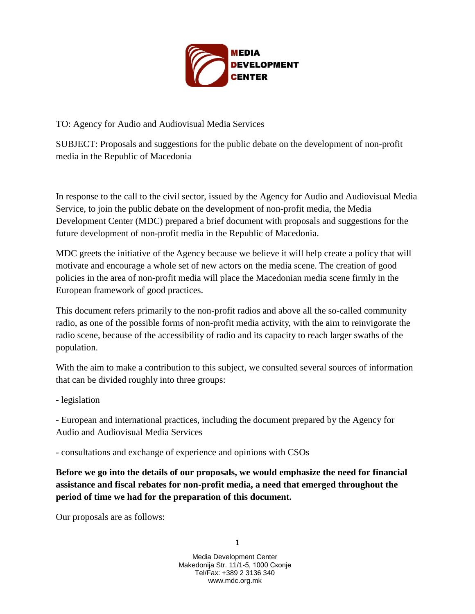

TO: Agency for Audio and Audiovisual Media Services

SUBJECT: Proposals and suggestions for the public debate on the development of non-profit media in the Republic of Macedonia

In response to the call to the civil sector, issued by the Agency for Audio and Audiovisual Media Service, to join the public debate on the development of non-profit media, the Media Development Center (MDC) prepared a brief document with proposals and suggestions for the future development of non-profit media in the Republic of Macedonia.

MDC greets the initiative of the Agency because we believe it will help create a policy that will motivate and encourage a whole set of new actors on the media scene. The creation of good policies in the area of non-profit media will place the Macedonian media scene firmly in the European framework of good practices.

This document refers primarily to the non-profit radios and above all the so-called community radio, as one of the possible forms of non-profit media activity, with the aim to reinvigorate the radio scene, because of the accessibility of radio and its capacity to reach larger swaths of the population.

With the aim to make a contribution to this subject, we consulted several sources of information that can be divided roughly into three groups:

- legislation

- European and international practices, including the document prepared by the Agency for Audio and Audiovisual Media Services

- consultations and exchange of experience and opinions with CSOs

**Before we go into the details of our proposals, we would emphasize the need for financial assistance and fiscal rebates for non-profit media, a need that emerged throughout the period of time we had for the preparation of this document.** 

Our proposals are as follows:

1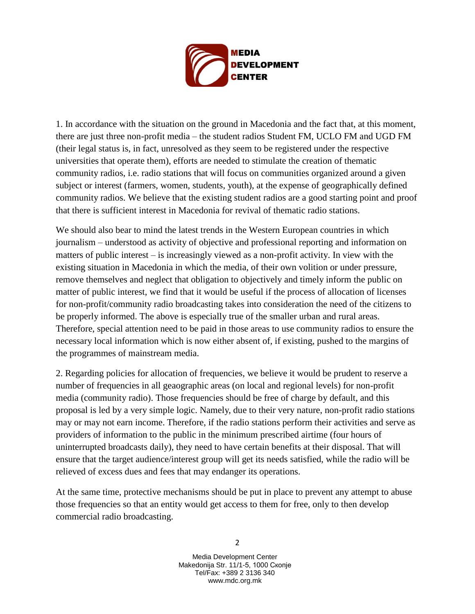

1. In accordance with the situation on the ground in Macedonia and the fact that, at this moment, there are just three non-profit media – the student radios Student FM, UCLO FM and UGD FM (their legal status is, in fact, unresolved as they seem to be registered under the respective universities that operate them), efforts are needed to stimulate the creation of thematic community radios, i.e. radio stations that will focus on communities organized around a given subject or interest (farmers, women, students, youth), at the expense of geographically defined community radios. We believe that the existing student radios are a good starting point and proof that there is sufficient interest in Macedonia for revival of thematic radio stations.

We should also bear to mind the latest trends in the Western European countries in which journalism – understood as activity of objective and professional reporting and information on matters of public interest – is increasingly viewed as a non-profit activity. In view with the existing situation in Macedonia in which the media, of their own volition or under pressure, remove themselves and neglect that obligation to objectively and timely inform the public on matter of public interest, we find that it would be useful if the process of allocation of licenses for non-profit/community radio broadcasting takes into consideration the need of the citizens to be properly informed. The above is especially true of the smaller urban and rural areas. Therefore, special attention need to be paid in those areas to use community radios to ensure the necessary local information which is now either absent of, if existing, pushed to the margins of the programmes of mainstream media.

2. Regarding policies for allocation of frequencies, we believe it would be prudent to reserve a number of frequencies in all geaographic areas (on local and regional levels) for non-profit media (community radio). Those frequencies should be free of charge by default, and this proposal is led by a very simple logic. Namely, due to their very nature, non-profit radio stations may or may not earn income. Therefore, if the radio stations perform their activities and serve as providers of information to the public in the minimum prescribed airtime (four hours of uninterrupted broadcasts daily), they need to have certain benefits at their disposal. That will ensure that the target audience/interest group will get its needs satisfied, while the radio will be relieved of excess dues and fees that may endanger its operations.

At the same time, protective mechanisms should be put in place to prevent any attempt to abuse those frequencies so that an entity would get access to them for free, only to then develop commercial radio broadcasting.

> Media Development Center Makedonija Str. 11/1-5, 1000 Скопје Tel/Fax: +389 2 3136 340 www.mdc.org.mk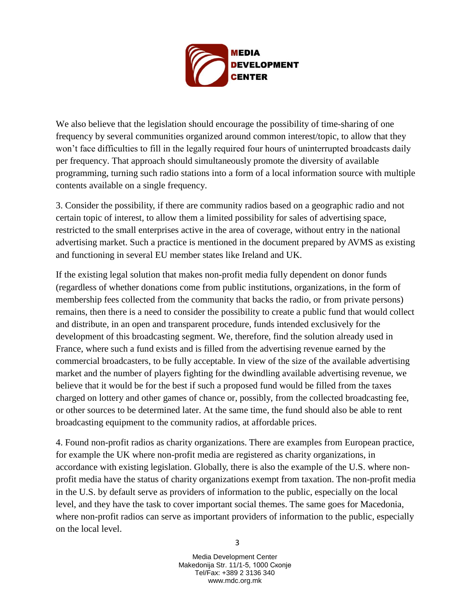

We also believe that the legislation should encourage the possibility of time-sharing of one frequency by several communities organized around common interest/topic, to allow that they won't face difficulties to fill in the legally required four hours of uninterrupted broadcasts daily per frequency. That approach should simultaneously promote the diversity of available programming, turning such radio stations into a form of a local information source with multiple contents available on a single frequency.

3. Consider the possibility, if there are community radios based on a geographic radio and not certain topic of interest, to allow them a limited possibility for sales of advertising space, restricted to the small enterprises active in the area of coverage, without entry in the national advertising market. Such a practice is mentioned in the document prepared by AVMS as existing and functioning in several EU member states like Ireland and UK.

If the existing legal solution that makes non-profit media fully dependent on donor funds (regardless of whether donations come from public institutions, organizations, in the form of membership fees collected from the community that backs the radio, or from private persons) remains, then there is a need to consider the possibility to create a public fund that would collect and distribute, in an open and transparent procedure, funds intended exclusively for the development of this broadcasting segment. We, therefore, find the solution already used in France, where such a fund exists and is filled from the advertising revenue earned by the commercial broadcasters, to be fully acceptable. In view of the size of the available advertising market and the number of players fighting for the dwindling available advertising revenue, we believe that it would be for the best if such a proposed fund would be filled from the taxes charged on lottery and other games of chance or, possibly, from the collected broadcasting fee, or other sources to be determined later. At the same time, the fund should also be able to rent broadcasting equipment to the community radios, at affordable prices.

4. Found non-profit radios as charity organizations. There are examples from European practice, for example the UK where non-profit media are registered as charity organizations, in accordance with existing legislation. Globally, there is also the example of the U.S. where nonprofit media have the status of charity organizations exempt from taxation. The non-profit media in the U.S. by default serve as providers of information to the public, especially on the local level, and they have the task to cover important social themes. The same goes for Macedonia, where non-profit radios can serve as important providers of information to the public, especially on the local level.

> Media Development Center Makedonija Str. 11/1-5, 1000 Скопје Tel/Fax: +389 2 3136 340 www.mdc.org.mk

3